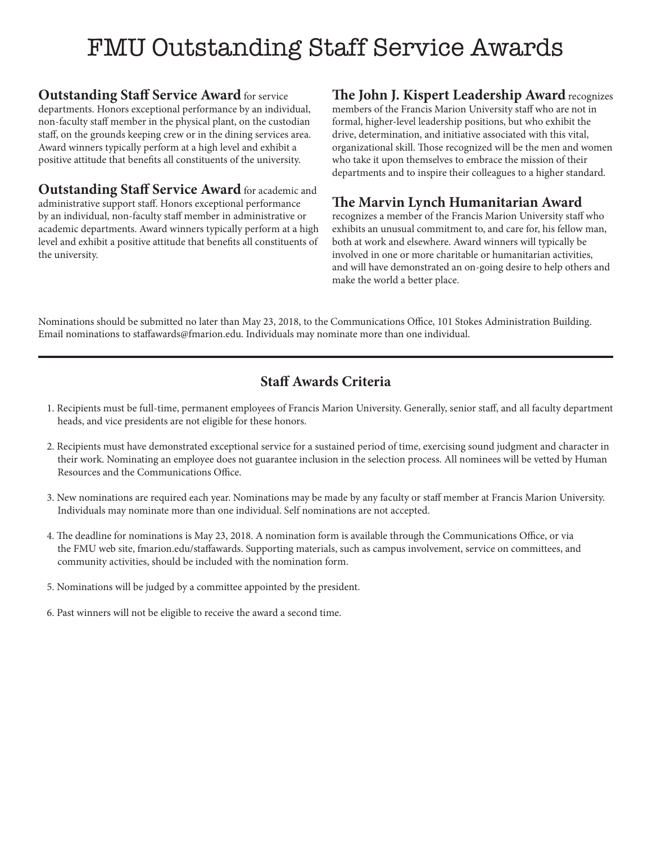# FMU Outstanding Staff Service Awards

**Outstanding Staff Service Award** for service departments. Honors exceptional performance by an individual, non-faculty staff member in the physical plant, on the custodian staff, on the grounds keeping crew or in the dining services area. Award winners typically perform at a high level and exhibit a positive attitude that benefits all constituents of the university.

**Outstanding Staff Service Award** for academic and administrative support staff. Honors exceptional performance by an individual, non-faculty staff member in administrative or academic departments. Award winners typically perform at a high level and exhibit a positive attitude that benefits all constituents of the university.

### **The John J. Kispert Leadership Award** recognizes

members of the Francis Marion University staff who are not in formal, higher-level leadership positions, but who exhibit the drive, determination, and initiative associated with this vital, organizational skill. Those recognized will be the men and women who take it upon themselves to embrace the mission of their departments and to inspire their colleagues to a higher standard.

### **The Marvin Lynch Humanitarian Award**

recognizes a member of the Francis Marion University staff who exhibits an unusual commitment to, and care for, his fellow man, both at work and elsewhere. Award winners will typically be involved in one or more charitable or humanitarian activities, and will have demonstrated an on-going desire to help others and make the world a better place.

Nominations should be submitted no later than May 23, 2018, to the Communications Office, 101 Stokes Administration Building. Email nominations to staffawards@fmarion.edu. Individuals may nominate more than one individual.

## **Staff Awards Criteria**

- 1. Recipients must be full-time, permanent employees of Francis Marion University. Generally, senior staff, and all faculty department heads, and vice presidents are not eligible for these honors.
- 2. Recipients must have demonstrated exceptional service for a sustained period of time, exercising sound judgment and character in their work. Nominating an employee does not guarantee inclusion in the selection process. All nominees will be vetted by Human Resources and the Communications Office.
- 3. New nominations are required each year. Nominations may be made by any faculty or staff member at Francis Marion University. Individuals may nominate more than one individual. Self nominations are not accepted.
- 4. The deadline for nominations is May 23, 2018. A nomination form is available through the Communications Office, or via the FMU web site, fmarion.edu/staffawards. Supporting materials, such as campus involvement, service on committees, and community activities, should be included with the nomination form.
- 5. Nominations will be judged by a committee appointed by the president.
- 6. Past winners will not be eligible to receive the award a second time.